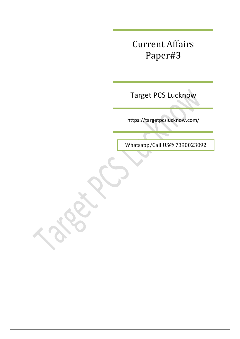Target PCS Lucknow

https://targetpcslucknow.com/

Whatsapp/Call US@ 7390023092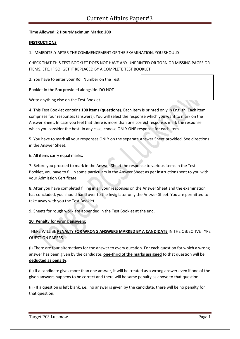#### **Time Allowed: 2 HoursMaximum Marks: 200**

#### **INSTRUCTIONS**

1. IMMEDITELY AFTER THE COMMENCEMENT OF THE EXAMINATION, YOU SHOULD

CHECK THAT THIS TEST BOOKLET DOES NOT HAVE ANY UNPRINTED OR TORN OR MISSING PAGES OR ITEMS, ETC. IF SO, GET IT REPLACED BY A COMPLETE TEST BOOKLET.

2. You have to enter your Roll Number on the Test

Booklet in the Box provided alongside. DO NOT

Write anything else on the Test Booklet.

4. This Test Booklet contains **100 items (questions).** Each item is printed only in English. Each item comprises four responses (answers). You will select the response which you want to mark on the Answer Sheet. In case you feel that there is more than one correct response, mark the response which you consider the best. In any case, choose ONLY ONE response for each item.

5. You have to mark all your responses ONLY on the separate Answer Sheet provided. See directions in the Answer Sheet.

6. All items carry equal marks.

7. Before you proceed to mark in the Answer Sheet the response to various items in the Test Booklet, you have to fill in some particulars in the Answer Sheet as per instructions sent to you with your Admission Certificate.

8. After you have completed filling in all your responses on the Answer Sheet and the examination has concluded, you should hand over to the Invigilator only the Answer Sheet. You are permitted to take away with you the Test Booklet.

9. Sheets for rough work are appended in the Test Booklet at the end.

#### **10. Penalty for wrong answers:**

THERE WILL BE **PENALTY FOR WRONG ANSWERS MARKED BY A CANDIDATE** IN THE OBJECTIVE TYPE QUESTION PAPERS.

(i) There are four alternatives for the answer to every question. For each question for which a wrong answer has been given by the candidate, **one-third of the marks assigned** to that question will be **deducted as penalty**.

(ii) If a candidate gives more than one answer, it will be treated as a wrong answer even if one of the given answers happens to be correct and there will be same penalty as above to that question.

(iii) If a question is left blank, i.e., no answer is given by the candidate, there will be no penalty for that question.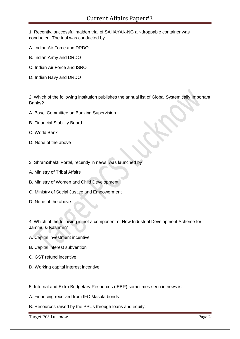1. Recently, successful maiden trial of SAHAYAK-NG air-droppable container was conducted. The trial was conducted by

- A. Indian Air Force and DRDO
- B. Indian Army and DRDO
- C. Indian Air Force and ISRO
- D. Indian Navy and DRDO

2. Which of the following institution publishes the annual list of Global Systemically Important Banks?

- A. Basel Committee on Banking Supervision
- B. Financial Stability Board
- C. World Bank
- D. None of the above
- 3. ShramShakti Portal, recently in news, was launched by
- A. Ministry of Tribal Affairs
- B. Ministry of Women and Child Development
- C. Ministry of Social Justice and Empowerment
- D. None of the above

4. Which of the following is not a component of New Industrial Development Scheme for Jammu & Kashmir?

- A. Capital investment incentive
- B. Capital interest subvention
- C. GST refund incentive
- D. Working capital interest incentive
- 5. Internal and Extra Budgetary Resources (IEBR) sometimes seen in news is
- A. Financing received from IFC Masala bonds
- B. Resources raised by the PSUs through loans and equity.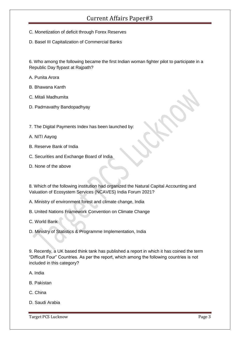- C. Monetization of deficit through Forex Reserves
- D. Basel III Capitalization of Commercial Banks

6. Who among the following became the first Indian woman fighter pilot to participate in a Republic Day flypast at Rajpath?

- A. Punita Arora
- B. Bhawana Kanth
- C. Mitali Madhumita
- D. Padmavathy Bandopadhyay
- 7. The Digital Payments Index has been launched by:
- A. NITI Aayog
- B. Reserve Bank of India
- C. Securities and Exchange Board of India
- D. None of the above

8. Which of the following institution had organized the Natural Capital Accounting and Valuation of Ecosystem Services (NCAVES) India Forum 2021?

- A. Ministry of environment forest and climate change, India
- B. United Nations Framework Convention on Climate Change
- C. World Bank
- D. Ministry of Statistics & Programme Implementation, India

9. Recently, a UK based think tank has published a report in which it has coined the term "Difficult Four" Countries. As per the report, which among the following countries is not included in this category?

- A. India
- B. Pakistan
- C. China
- D. Saudi Arabia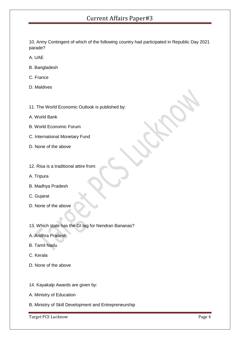10. Army Contingent of which of the following country had participated in Republic Day 2021 parade?

- A. UAE
- B. Bangladesh
- C. France
- D. Maldives
- 11. The World Economic Outlook is published by:
- A. World Bank
- B. World Economic Forum
- C. International Monetary Fund
- D. None of the above
- 12. Risa is a traditional attire from:
- A. Tripura
- B. Madhya Pradesh
- C. Gujarat
- D. None of the above
- 13. Which state has the GI tag for Nendran Bananas?
- A. Andhra Pradesh
- B. Tamil Nadu
- C. Kerala
- D. None of the above
- 14. Kayakalp Awards are given by:
- A. Ministry of Education
- B. Ministry of Skill Development and Entrepreneurship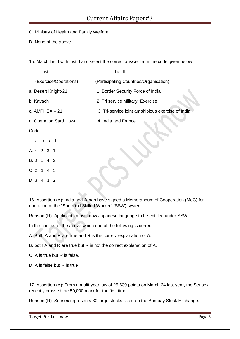- C. Ministry of Health and Family Welfare
- D. None of the above

15. Match List I with List II and select the correct answer from the code given below:

| List I                 |  |  | List II                                           |
|------------------------|--|--|---------------------------------------------------|
| (Exercise/Operations)  |  |  | (Participating Countries/Organisation)            |
| a. Desert Knight-21    |  |  | 1. Border Security Force of India                 |
| b. Kavach              |  |  | 2. Tri service Military "Exercise                 |
| c. $AMPHEX - 21$       |  |  | 3. Tri-service joint amphibious exercise of India |
| d. Operation Sard Hawa |  |  | 4. India and France                               |
| Code:                  |  |  |                                                   |
| a b c d                |  |  |                                                   |
| A.4 2 3 1              |  |  |                                                   |
| B.3 1 4 2              |  |  |                                                   |
| $C.2$ 1 4 3            |  |  |                                                   |
| D. 3 4 1 2             |  |  |                                                   |

16. Assertion (A): India and Japan have signed a Memorandum of Cooperation (MoC) for operation of the "Specified Skilled Worker" (SSW) system.

Reason (R): Applicants must know Japanese language to be entitled under SSW.

In the context of the above which one of the following is correct

A. Both A and R are true and R is the correct explanation of A.

B. both A and R are true but R is not the correct explanation of A.

C. A is true but R is false.

D. A is false but R is true

17. Assertion (A): From a multi-year low of 25,639 points on March 24 last year, the Sensex recently crossed the 50,000 mark for the first time.

Reason (R): Sensex represents 30 large stocks listed on the Bombay Stock Exchange.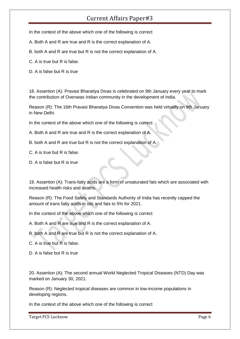In the context of the above which one of the following is correct

A. Both A and R are true and R is the correct explanation of A.

B. both A and R are true but R is not the correct explanation of A.

C. A is true but R is false.

D. A is false but R is true

18. Assertion (A): Pravasi Bharatiya Divas is celebrated on 9th January every year to mark the contribution of Overseas Indian community in the development of India.

Reason (R): The 16th Pravasi Bharatiya Divas Convention was held virtually on 9th January in New Delhi.

In the context of the above which one of the following is correct

A. Both A and R are true and R is the correct explanation of A.

B. both A and R are true but R is not the correct explanation of A.

C. A is true but R is false.

D. A is false but R is true

19. Assertion (A): Trans-fatty acids are a form of unsaturated fats which are associated with increased health risks and deaths.

Reason (R): The Food Safety and Standards Authority of India has recently capped the amount of trans fatty acids in oils and fats to 5% for 2021.

In the context of the above which one of the following is correct

A. Both A and R are true and R is the correct explanation of A.

B. both A and R are true but R is not the correct explanation of A.

C. A is true but R is false.

D. A is false but R is true

20. Assertion (A): The second annual World Neglected Tropical Diseases (NTD) Day was marked on January 30, 2021.

Reason (R): Neglected tropical diseases are common in low-income populations in developing regions.

In the context of the above which one of the following is correct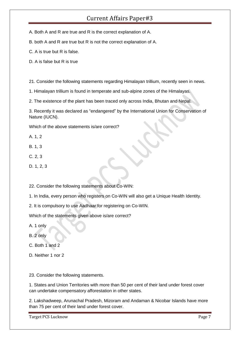A. Both A and R are true and R is the correct explanation of A.

B. both A and R are true but R is not the correct explanation of A.

C. A is true but R is false.

D. A is false but R is true

21. Consider the following statements regarding Himalayan trillium, recently seen in news.

1. Himalayan trillium is found in temperate and sub-alpine zones of the Himalayas.

2. The existence of the plant has been traced only across India, Bhutan and Nepal.

3. Recently it was declared as "endangered" by the International Union for Conservation of Nature (IUCN).

Which of the above statements is/are correct?

A. 1, 2

- B. 1, 3
- C. 2, 3
- D. 1, 2, 3

22. Consider the following statements about Co-WIN:

1. In India, every person who registers on Co-WIN will also get a Unique Health Identity.

2. It is compulsory to use Aadhaar for registering on Co-WIN.

Which of the statements given above is/are correct?

A. 1 only

- B. 2 only
- C. Both 1 and 2
- D. Neither 1 nor 2

23. Consider the following statements.

1. States and Union Territories with more than 50 per cent of their land under forest cover can undertake compensatory afforestation in other states.

2. Lakshadweep, Arunachal Pradesh, Mizoram and Andaman & Nicobar Islands have more than 75 per cent of their land under forest cover.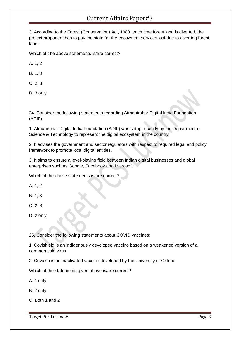3. According to the Forest (Conservation) Act, 1980, each time forest land is diverted, the project proponent has to pay the state for the ecosystem services lost due to diverting forest land.

Which of t he above statements is/are correct?

A. 1, 2

B. 1, 3

C. 2, 3

D. 3 only

24. Consider the following statements regarding Atmanirbhar Digital India Foundation (ADIF).

1. Atmanirbhar Digital India Foundation (ADIF) was setup recently by the Department of Science & Technology to represent the digital ecosystem in the country.

2. It advises the government and sector regulators with respect to required legal and policy framework to promote local digital entities.

3. It aims to ensure a level-playing field between Indian digital businesses and global enterprises such as Google, Facebook and Microsoft.

Which of the above statements is/are correct?

A. 1, 2

B. 1, 3

C. 2, 3

D. 2 only

25. Consider the following statements about COVID vaccines:

1. Covishield is an indigenously developed vaccine based on a weakened version of a common cold virus.

2. Covaxin is an inactivated vaccine developed by the University of Oxford.

Which of the statements given above is/are correct?

A. 1 only

B. 2 only

C. Both 1 and 2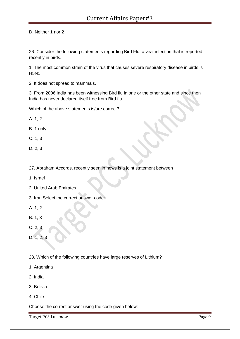D. Neither 1 nor 2

26. Consider the following statements regarding Bird Flu, a viral infection that is reported recently in birds.

1. The most common strain of the virus that causes severe respiratory disease in birds is H5N1.

2. It does not spread to mammals.

3. From 2006 India has been witnessing Bird flu in one or the other state and since then India has never declared itself free from Bird flu.

Which of the above statements is/are correct?

A. 1, 2

B. 1 only

- C. 1, 3
- D. 2, 3
- 27. Abraham Accords, recently seen in news is a joint statement between
- 1. Israel
- 2. United Arab Emirates
- 3. Iran Select the correct answer code:
- A. 1, 2
- B. 1, 3
- C. 2, 3
- D. 1, 2, 3
- 28. Which of the following countries have large reserves of Lithium?
- 1. Argentina
- 2. India
- 3. Bolivia
- 4. Chile

Choose the correct answer using the code given below: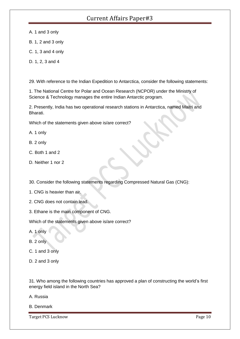A. 1 and 3 only

- B. 1, 2 and 3 only
- C. 1, 3 and 4 only
- D. 1, 2, 3 and 4

29. With reference to the Indian Expedition to Antarctica, consider the following statements:

1. The National Centre for Polar and Ocean Research (NCPOR) under the Ministry of Science & Technology manages the entire Indian Antarctic program.

2. Presently, India has two operational research stations in Antarctica, named Maitri and Bharati.

Which of the statements given above is/are correct?

A. 1 only

- B. 2 only
- C. Both 1 and 2
- D. Neither 1 nor 2

30. Consider the following statements regarding Compressed Natural Gas (CNG):

- 1. CNG is heavier than air.
- 2. CNG does not contain lead.
- 3. Ethane is the main component of CNG.

Which of the statements given above is/are correct?

A. 1 only

B. 2 only

- C. 1 and 3 only
- D. 2 and 3 only

31. Who among the following countries has approved a plan of constructing the world's first energy field island in the North Sea?

- A. Russia
- B. Denmark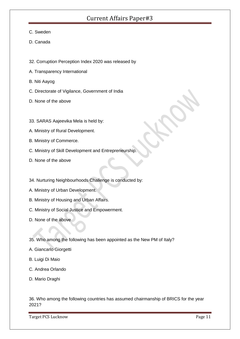- C. Sweden
- D. Canada
- 32. Corruption Perception Index 2020 was released by
- A. Transparency International
- B. Niti Aayog
- C. Directorate of Vigilance, Government of India
- D. None of the above
- 33. SARAS Aajeevika Mela is held by:
- A. Ministry of Rural Development.
- B. Ministry of Commerce.
- C. Ministry of Skill Development and Entrepreneurship.
- D. None of the above
- 34. Nurturing Neighbourhoods Challenge is conducted by:
- A. Ministry of Urban Development.
- B. Ministry of Housing and Urban Affairs.
- C. Ministry of Social Justice and Empowerment.
- D. None of the above
- 35. Who among the following has been appointed as the New PM of Italy?
- A. Giancarlo Giorgetti
- B. Luigi Di Maio
- C. Andrea Orlando
- D. Mario Draghi

36. Who among the following countries has assumed chairmanship of BRICS for the year 2021?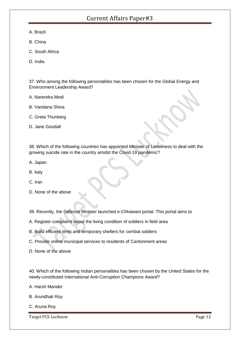- A. Brazil
- B. China
- C. South Africa
- D. India

37. Who among the following personalities has been chosen for the Global Energy and Environment Leadership Award?

- A. Narendra Modi
- B. Vandana Shiva
- C. Greta Thunberg
- D. Jane Goodall

38. Which of the following countries has appointed Minister of Loneliness to deal with the growing suicide rate in the country amidst the Covid-19 pandemic?

- A. Japan
- B. Italy
- C. Iran
- D. None of the above
- 39. Recently, the Defence Minister launched e-Chhawani portal. This portal aims to
- A. Register complains about the living condition of soldiers in field area
- B. Build efficient tents and temporary shelters for combat soldiers
- C. Provide online municipal services to residents of Cantonment areas
- D. None of the above

40. Which of the following Indian personalities has been chosen by the United States for the newly-constituted International Anti-Corruption Champions Award?

- A. Harsh Mander
- B. Arundhati Roy
- C. Aruna Roy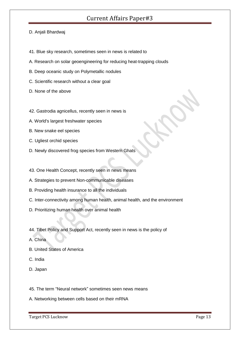#### D. Anjali Bhardwaj

- 41. Blue sky research, sometimes seen in news is related to
- A. Research on solar geoengineering for reducing heat-trapping clouds
- B. Deep oceanic study on Polymetallic nodules
- C. Scientific research without a clear goal
- D. None of the above
- 42. Gastrodia agnicellus, recently seen in news is
- A. World's largest freshwater species
- B. New snake eel species
- C. Ugliest orchid species
- D. Newly discovered frog species from Western Ghats
- 43. One Health Concept, recently seen in news means
- A. Strategies to prevent Non-communicable diseases
- B. Providing health insurance to all the individuals
- C. Inter-connectivity among human health, animal health, and the environment
- D. Prioritizing human health over animal health
- 44. Tibet Policy and Support Act, recently seen in news is the policy of
- A. China
- B. United States of America
- C. India
- D. Japan
- 45. The term "Neural network" sometimes seen news means
- A. Networking between cells based on their mRNA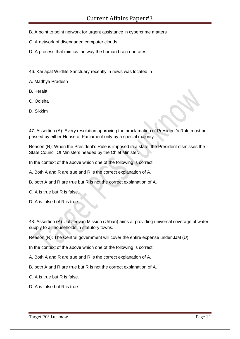- B. A point to point network for urgent assistance in cybercrime matters
- C. A network of disengaged computer clouds
- D. A process that mimics the way the human brain operates.
- 46. Karlapat Wildlife Sanctuary recently in news was located in
- A. Madhya Pradesh
- B. Kerala
- C. Odisha
- D. Sikkim

47. Assertion (A): Every resolution approving the proclamation of President's Rule must be passed by either House of Parliament only by a special majority.

Reason (R): When the President's Rule is imposed in a state, the President dismisses the State Council Of Ministers headed by the Chief Minister.

In the context of the above which one of the following is correct

- A. Both A and R are true and R is the correct explanation of A.
- B. both A and R are true but R is not the correct explanation of A.
- C. A is true but R is false.
- D. A is false but R is true

48. Assertion (A): Jal Jeevan Mission (Urban) aims at providing universal coverage of water supply to all households in statutory towns.

Reason (R): The Central government will cover the entire expense under JJM (U).

In the context of the above which one of the following is correct

- A. Both A and R are true and R is the correct explanation of A.
- B. both A and R are true but R is not the correct explanation of A.
- C. A is true but R is false.
- D. A is false but R is true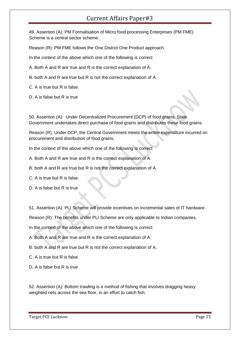49. Assertion (A): PM Formalisation of Micro food processing Enterprises (PM FME) Scheme is a central sector scheme.

Reason (R): PM FME follows the One District One Product approach.

In the context of the above which one of the following is correct

A. Both A and R are true and R is the correct explanation of A.

B. both A and R are true but R is not the correct explanation of A.

C. A is true but R is false.

D. A is false but R is true

50. Assertion (A): Under Decentralized Procurement (DCP) of food grains, State Government undertakes direct purchase of food grains and distributes these food grains.

Reason (R): Under DCP, the Central Government meets the entire expenditure incurred on procurement and distribution of food grains.

In the context of the above which one of the following is correct

A. Both A and R are true and R is the correct explanation of A.

B. both A and R are true but R is not the correct explanation of A.

C. A is true but R is false.

D. A is false but R is true

51. Assertion (A): PLI Scheme will provide incentives on incremental sales of IT hardware.

Reason (R): The benefits under PLI Scheme are only applicable to Indian companies.

In the context of the above which one of the following is correct

A. Both A and R are true and R is the correct explanation of A.

B. both A and R are true but R is not the correct explanation of A.

C. A is true but R is false.

D. A is false but R is true

52. Assertion (A): Bottom trawling is a method of fishing that involves dragging heavy weighted nets across the sea floor, in an effort to catch fish.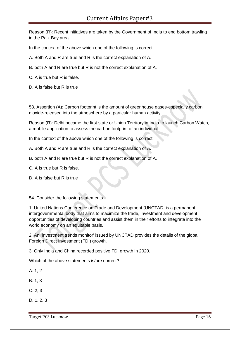Reason (R): Recent initiatives are taken by the Government of India to end bottom trawling in the Palk Bay area.

In the context of the above which one of the following is correct

- A. Both A and R are true and R is the correct explanation of A.
- B. both A and R are true but R is not the correct explanation of A.
- C. A is true but R is false.
- D. A is false but R is true

53. Assertion (A): Carbon footprint is the amount of greenhouse gases-especially carbon dioxide-released into the atmosphere by a particular human activity.

Reason (R): Delhi became the first state or Union Territory in India to launch Carbon Watch, a mobile application to assess the carbon footprint of an individual.

In the context of the above which one of the following is correct

- A. Both A and R are true and R is the correct explanation of A.
- B. both A and R are true but R is not the correct explanation of A.
- C. A is true but R is false.
- D. A is false but R is true

54. Consider the following statements.

1. United Nations Conference on Trade and Development (UNCTAD. is a permanent intergovernmental body that aims to maximize the trade, investment and development opportunities of developing countries and assist them in their efforts to integrate into the world economy on an equitable basis.

2. An "investment trends monitor' issued by UNCTAD provides the details of the global Foreign Direct Investment (FDI) growth.

3. Only India and China recorded positive FDI growth in 2020.

Which of the above statements is/are correct?

- A. 1, 2
- B. 1, 3
- C. 2, 3
- D. 1, 2, 3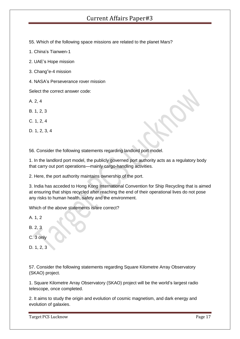55. Which of the following space missions are related to the planet Mars?

- 1. China's Tianwen-1
- 2. UAE's Hope mission
- 3. Chang"e-4 mission
- 4. NASA's Perseverance rover mission

Select the correct answer code:

- A. 2, 4
- B. 1, 2, 3
- C. 1, 2, 4
- D. 1, 2, 3, 4

56. Consider the following statements regarding landlord port model.

1. In the landlord port model, the publicly governed port authority acts as a regulatory body that carry out port operations—mainly cargo-handling activities.

2. Here, the port authority maintains ownership of the port.

3. India has acceded to Hong Kong International Convention for Ship Recycling that is aimed at ensuring that ships recycled after reaching the end of their operational lives do not pose any risks to human health, safety and the environment.

Which of the above statements is/are correct?

A. 1, 2

- B. 2, 3
- C. 3 only
- D. 1, 2, 3

57. Consider the following statements regarding Square Kilometre Array Observatory (SKAO) project.

1. Square Kilometre Array Observatory (SKAO) project will be the world's largest radio telescope, once completed.

2. It aims to study the origin and evolution of cosmic magnetism, and dark energy and evolution of galaxies.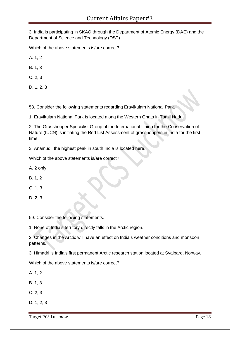3. India is participating in SKAO through the Department of Atomic Energy (DAE) and the Department of Science and Technology (DST).

Which of the above statements is/are correct?

A. 1, 2

B. 1, 3

C. 2, 3

D. 1, 2, 3

58. Consider the following statements regarding Eravikulam National Park.

1. Eravikulam National Park is located along the Western Ghats in Tamil Nadu.

2. The Grasshopper Specialist Group of the International Union for the Conservation of Nature (IUCN) is initiating the Red List Assessment of grasshoppers in India for the first time.

3. Anamudi, the highest peak in south India is located here.

Which of the above statements is/are correct?

A. 2 only

B. 1, 2

C. 1, 3

D. 2, 3

59. Consider the following statements.

1. None of India's territory directly falls in the Arctic region.

2. Changes in the Arctic will have an effect on India's weather conditions and monsoon patterns.

3. Himadri is India's first permanent Arctic research station located at Svalbard, Norway.

Which of the above statements is/are correct?

A. 1, 2

B. 1, 3

C. 2, 3

D. 1, 2, 3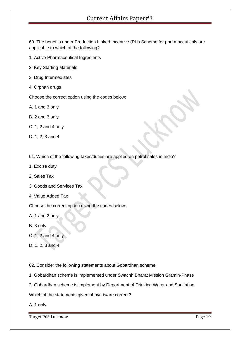60. The benefits under Production Linked Incentive (PLI) Scheme for pharmaceuticals are applicable to which of the following?

- 1. Active Pharmaceutical Ingredients
- 2. Key Starting Materials
- 3. Drug Intermediates
- 4. Orphan drugs

Choose the correct option using the codes below:

- A. 1 and 3 only
- B. 2 and 3 only
- C. 1, 2 and 4 only
- D. 1, 2, 3 and 4
- 61. Which of the following taxes/duties are applied on petrol sales in India?
- 1. Excise duty
- 2. Sales Tax
- 3. Goods and Services Tax
- 4. Value Added Tax

Choose the correct option using the codes below:

- A. 1 and 2 only
- B. 3 only
- C. 1, 2 and 4 only
- D. 1, 2, 3 and 4

62. Consider the following statements about Gobardhan scheme:

- 1. Gobardhan scheme is implemented under Swachh Bharat Mission Gramin-Phase
- 2. Gobardhan scheme is implement by Department of Drinking Water and Sanitation.

Which of the statements given above is/are correct?

A. 1 only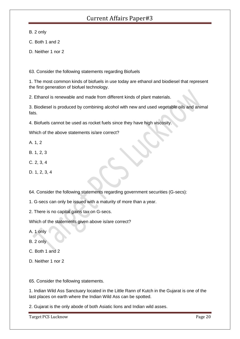B. 2 only

- C. Both 1 and 2
- D. Neither 1 nor 2

63. Consider the following statements regarding Biofuels

1. The most common kinds of biofuels in use today are ethanol and biodiesel that represent the first generation of biofuel technology.

2. Ethanol is renewable and made from different kinds of plant materials.

3. Biodiesel is produced by combining alcohol with new and used vegetable oils and animal fats.

4. Biofuels cannot be used as rocket fuels since they have high viscosity.

Which of the above statements is/are correct?

- A. 1, 2
- B. 1, 2, 3
- C. 2, 3, 4

D. 1, 2, 3, 4

64. Consider the following statements regarding government securities (G-secs):

1. G-secs can only be issued with a maturity of more than a year.

2. There is no capital gains tax on G-secs.

Which of the statements given above is/are correct?

A. 1 only

B. 2 only

- C. Both 1 and 2
- D. Neither 1 nor 2

65. Consider the following statements.

1. Indian Wild Ass Sanctuary located in the Little Rann of Kutch in the Gujarat is one of the last places on earth where the Indian Wild Ass can be spotted.

2. Gujarat is the only abode of both Asiatic lions and Indian wild asses.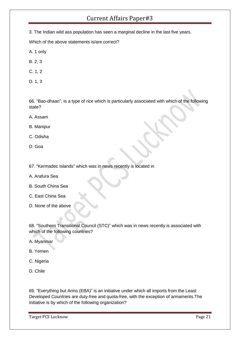3. The Indian wild ass population has seen a marginal decline in the last five years.

Which of the above statements is/are correct?

- A. 1 only
- B. 2, 3
- C. 1, 2
- D. 1, 3

66. "Bao-dhaan", is a type of rice which is particularly associated with which of the following state?

- A. Assam
- B. Manipur
- C. Odisha
- D. Goa
- 67. "Kermadec Islands" which was in news recently is located in
- A. Arafura Sea
- B. South China Sea
- C. East China Sea
- D. None of the above

68. "Southern Transitional Council (STC)" which was in news recently is associated with which of the following countries?

- A. Myanmar
- B. Yemen
- C. Nigeria
- D. Chile

69. "Everything but Arms (EBA)" is an initiative under which all imports from the Least Developed Countries are duty-free and quota-free, with the exception of armaments.The initiative is by which of the following organization?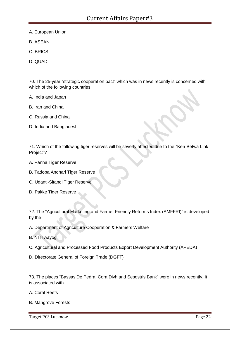- A. European Union
- B. ASEAN
- C. BRICS
- D. QUAD

70. The 25-year "strategic cooperation pact" which was in news recently is concerned with which of the following countries

A. India and Japan

- B. Iran and China
- C. Russia and China
- D. India and Bangladesh

71. Which of the following tiger reserves will be severly affected due to the "Ken-Betwa Link Project"?

- A. Panna Tiger Reserve
- B. Tadoba Andhari Tiger Reserve
- C. Udanti-Sitandi Tiger Reserve
- D. Pakke Tiger Reserve

72. The "Agricultural Marketing and Farmer Friendly Reforms Index (AMFFRI)" is developed by the

A. Department of Agriculture Cooperation & Farmers Welfare

B. NITI Aayog

- C. Agricultural and Processed Food Products Export Development Authority (APEDA)
- D. Directorate General of Foreign Trade (DGFT)

73. The places "Bassas De Pedra, Cora Divh and Sesostris Bank" were in news recently. It is associated with

- A. Coral Reefs
- B. Mangrove Forests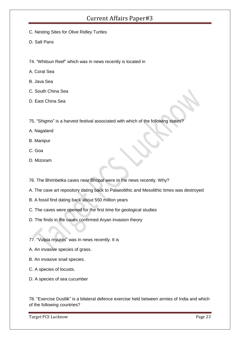- C. Nesting Sites for Olive Ridley Turtles
- D. Salt Pans
- 74. "Whitsun Reef" which was in news recently is located in
- A. Coral Sea
- B. Java Sea
- C. South China Sea
- D. East China Sea
- 75. "Shigmo" is a harvest festival associated with which of the following states?
- A. Nagaland
- B. Manipur
- C. Goa
- D. Mizoram
- 76. The Bhimbetka caves near Bhopal were in the news recently. Why?
- A. The cave art repository dating back to Palaeolithic and Mesolithic times was destroyed
- B. A fossil find dating back about 550 million years
- C. The caves were opened for the first time for geological studies
- D. The finds in the caves confirmed Aryan invasion theory
- 77. "Vulpia myuros" was in news recently. It is
- A. An invasive species of grass.
- B. An invasive snail species.
- C. A species of locusts.
- D. A species of sea cucumber

78. "Exercise Dustlik" is a bilateral defence exercise held between armies of India and which of the following countries?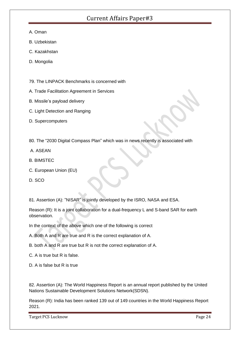- A. Oman
- B. Uzbekistan
- C. Kazakhstan
- D. Mongolia
- 79. The LINPACK Benchmarks is concerned with
- A. Trade Facilitation Agreement in Services
- B. Missile's payload delivery
- C. Light Detection and Ranging
- D. Supercomputers
- 80. The "2030 Digital Compass Plan" which was in news recently is associated with
- A. ASEAN
- B. BIMSTEC
- C. European Union (EU)
- D. SCO

81. Assertion (A): "NISAR" is jointly developed by the ISRO, NASA and ESA.

Reason (R): It is a joint collaboration for a dual-frequency L and S-band SAR for earth observation.

In the context of the above which one of the following is correct

- A. Both A and R are true and R is the correct explanation of A.
- B. both A and R are true but R is not the correct explanation of A.
- C. A is true but R is false.
- D. A is false but R is true

82. Assertion (A): The World Happiness Report is an annual report published by the United Nations Sustainable Development Solutions Network(SDSN).

Reason (R): India has been ranked 139 out of 149 countries in the World Happiness Report 2021.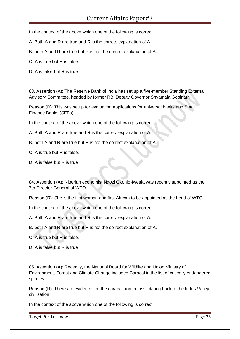In the context of the above which one of the following is correct

A. Both A and R are true and R is the correct explanation of A.

B. both A and R are true but R is not the correct explanation of A.

C. A is true but R is false.

D. A is false but R is true

83. Assertion (A): The Reserve Bank of India has set up a five-member Standing External Advisory Committee, headed by former RBI Deputy Governor Shyamala Gopinath

Reason (R): This was setup for evaluating applications for universal banks and Small Finance Banks (SFBs).

In the context of the above which one of the following is correct

A. Both A and R are true and R is the correct explanation of A.

B. both A and R are true but R is not the correct explanation of A.

C. A is true but R is false.

D. A is false but R is true

84. Assertion (A): Nigerian economist Ngozi Okonjo-Iweala was recently appointed as the 7th Director-General of WTO.

Reason (R): She is the first woman and first African to be appointed as the head of WTO.

In the context of the above which one of the following is correct

A. Both A and R are true and R is the correct explanation of A.

B. both A and R are true but R is not the correct explanation of A.

C. A is true but R is false.

D. A is false but R is true

85. Assertion (A): Recently, the National Board for Wildlife and Union Ministry of Environment, Forest and Climate Change included Caracal in the list of critically endangered species.

Reason (R): There are evidences of the caracal from a fossil dating back to the Indus Valley civilisation.

In the context of the above which one of the following is correct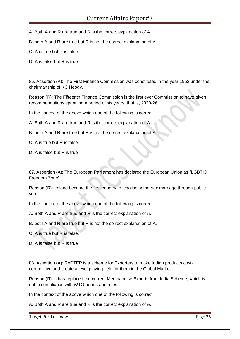A. Both A and R are true and R is the correct explanation of A.

B. both A and R are true but R is not the correct explanation of A.

C. A is true but R is false.

D. A is false but R is true

86. Assertion (A): The First Finance Commission was constituted in the year 1952 under the chairmanship of KC Neogy.

Reason (R): The Fifteenth Finance Commission is the first ever Commission to have given recommendations spanning a period of six years, that is, 2020-26.

In the context of the above which one of the following is correct

A. Both A and R are true and R is the correct explanation of A.

B. both A and R are true but R is not the correct explanation of A.

C. A is true but R is false.

D. A is false but R is true

87. Assertion (A): The European Parliament has declared the European Union as "LGBTIQ Freedom Zone".

Reason (R): Ireland became the first country to legalise same-sex marriage through public vote.

In the context of the above which one of the following is correct

A. Both A and R are true and R is the correct explanation of A.

B. both A and R are true but R is not the correct explanation of A.

C. A is true but R is false.

D. A is false but R is true

88. Assertion (A): RoDTEP is a scheme for Exporters to make Indian products costcompetitive and create a level playing field for them in the Global Market.

Reason (R): It has replaced the current Merchandise Exports from India Scheme, which is not in compliance with WTO norms and rules.

In the context of the above which one of the following is correct

A. Both A and R are true and R is the correct explanation of A.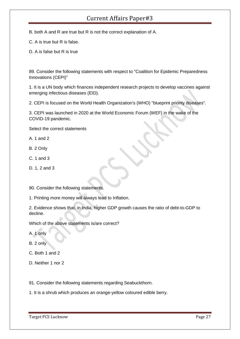B. both A and R are true but R is not the correct explanation of A.

C. A is true but R is false.

D. A is false but R is true

89. Consider the following statements with respect to "Coalition for Epidemic Preparedness Innovations (CEPI)"

1. It is a UN body which finances independent research projects to develop vaccines against emerging infectious diseases (EID).

2. CEPI is focused on the World Health Organization's (WHO) "blueprint priority diseases".

3. CEPI was launched in 2020 at the World Economic Forum (WEF) in the wake of the COVID-19 pandemic.

Select the correct statements

A. 1 and 2

- B. 2 Only
- C. 1 and 3
- D. 1, 2 and 3

90. Consider the following statements.

1. Printing more money will always lead to Inflation.

2. Evidence shows that, in India, higher GDP growth causes the ratio of debt-to-GDP to decline.

Which of the above statements is/are correct?

A. 1 only

B. 2 only

- C. Both 1 and 2
- D. Neither 1 nor 2
- 91. Consider the following statements regarding Seabuckthorn.
- 1. It is a shrub which produces an orange-yellow coloured edible berry.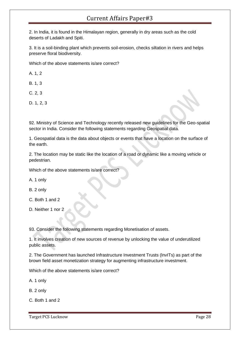2. In India, it is found in the Himalayan region, generally in dry areas such as the cold deserts of Ladakh and Spiti.

3. It is a soil-binding plant which prevents soil-erosion, checks siltation in rivers and helps preserve floral biodiversity.

Which of the above statements is/are correct?

A. 1, 2

B. 1, 3

C. 2, 3

D. 1, 2, 3

92. Ministry of Science and Technology recently released new guidelines for the Geo-spatial sector in India. Consider the following statements regarding Geospatial data.

1. Geospatial data is the data about objects or events that have a location on the surface of the earth.

2. The location may be static like the location of a road or dynamic like a moving vehicle or pedestrian.

Which of the above statements is/are correct?

A. 1 only

B. 2 only

C. Both 1 and 2

D. Neither 1 nor 2

93. Consider the following statements regarding Monetisation of assets.

1. It involves creation of new sources of revenue by unlocking the value of underutilized public assets.

2. The Government has launched Infrastructure Investment Trusts (lnvITs) as part of the brown field asset monetization strategy for augmenting infrastructure investment.

Which of the above statements is/are correct?

A. 1 only

B. 2 only

C. Both 1 and 2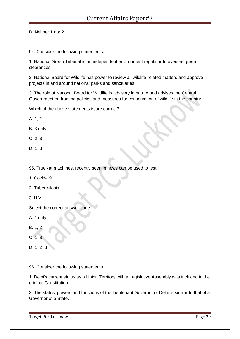D. Neither 1 nor 2

94. Consider the following statements.

1. National Green Tribunal is an independent environment regulator to oversee green clearances.

2. National Board for Wildlife has power to review all wildlife-related matters and approve projects in and around national parks and sanctuaries.

3. The role of National Board for Wildlife is advisory in nature and advises the Central Government on framing policies and measures for conservation of wildlife in the country.

Which of the above statements is/are correct?

- A. 1, 2
- B. 3 only
- C. 2, 3
- D. 1, 3
- 95. TrueNat machines, recently seen in news can be used to test
- 1. Covid-19
- 2. Tuberculosis
- 3. HIV

Select the correct answer code:

- A. 1 only
- B. 1, 2
- C. 1, 3
- D. 1, 2, 3

96. Consider the following statements.

1. Delhi's current status as a Union Territory with a Legislative Assembly was included in the original Constitution.

2. The status, powers and functions of the Lieutenant Governor of Delhi is similar to that of a Governor of a State.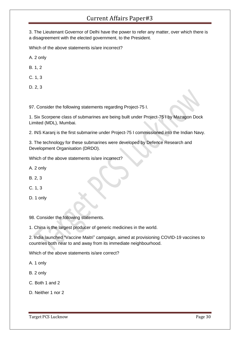3. The Lieutenant Governor of Delhi have the power to refer any matter, over which there is a disagreement with the elected government, to the President.

Which of the above statements is/are incorrect?

A. 2 only

B. 1, 2

C. 1, 3

D. 2, 3

97. Consider the following statements regarding Project-75 I.

1. Six Scorpene class of submarines are being built under Project-75 I by Mazagon Dock Limited (MDL), Mumbai.

2. INS Karanj is the first submarine under Project-75 I commissioned into the Indian Navy.

3. The technology for these submarines were developed by Defence Research and Development Organisation (DRDO).

Which of the above statements is/are incorrect?

A. 2 only

B. 2, 3

C. 1, 3

D. 1 only

98. Consider the following statements.

1. China is the largest producer of generic medicines in the world.

2. India launched "Vaccine Maitri" campaign, aimed at provisioning COVID-19 vaccines to countries both near to and away from its immediate neighbourhood.

Which of the above statements is/are correct?

A. 1 only

B. 2 only

C. Both 1 and 2

D. Neither 1 nor 2